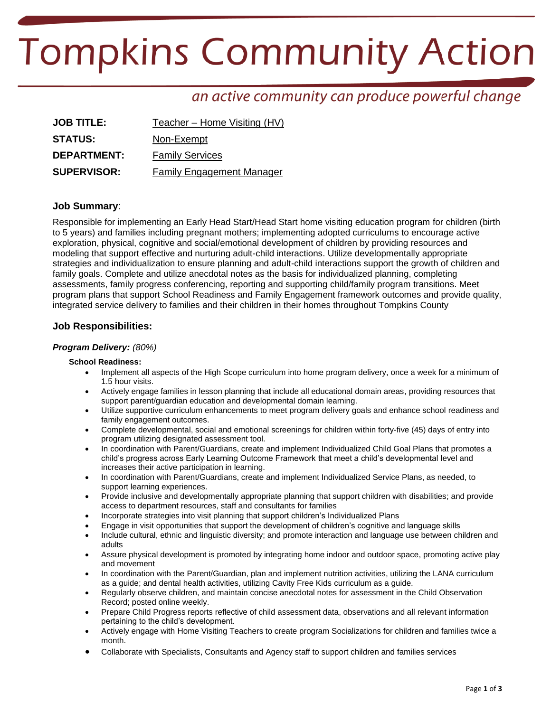# **Tompkins Community Action**

# an active community can produce powerful change

| <b>JOB TITLE:</b>  | Teacher – Home Visiting (HV)     |
|--------------------|----------------------------------|
| <b>STATUS:</b>     | Non-Exempt                       |
| <b>DEPARTMENT:</b> | <b>Family Services</b>           |
| <b>SUPERVISOR:</b> | <b>Family Engagement Manager</b> |

### **Job Summary**:

Responsible for implementing an Early Head Start/Head Start home visiting education program for children (birth to 5 years) and families including pregnant mothers; implementing adopted curriculums to encourage active exploration, physical, cognitive and social/emotional development of children by providing resources and modeling that support effective and nurturing adult-child interactions. Utilize developmentally appropriate strategies and individualization to ensure planning and adult-child interactions support the growth of children and family goals. Complete and utilize anecdotal notes as the basis for individualized planning, completing assessments, family progress conferencing, reporting and supporting child/family program transitions. Meet program plans that support School Readiness and Family Engagement framework outcomes and provide quality, integrated service delivery to families and their children in their homes throughout Tompkins County

## **Job Responsibilities:**

#### *Program Delivery: (80%)*

#### **School Readiness:**

- Implement all aspects of the High Scope curriculum into home program delivery, once a week for a minimum of 1.5 hour visits.
- Actively engage families in lesson planning that include all educational domain areas, providing resources that support parent/guardian education and developmental domain learning.
- Utilize supportive curriculum enhancements to meet program delivery goals and enhance school readiness and family engagement outcomes.
- Complete developmental, social and emotional screenings for children within forty-five (45) days of entry into program utilizing designated assessment tool.
- In coordination with Parent/Guardians, create and implement Individualized Child Goal Plans that promotes a child's progress across Early Learning Outcome Framework that meet a child's developmental level and increases their active participation in learning.
- In coordination with Parent/Guardians, create and implement Individualized Service Plans, as needed, to support learning experiences.
- Provide inclusive and developmentally appropriate planning that support children with disabilities; and provide access to department resources, staff and consultants for families
- Incorporate strategies into visit planning that support children's Individualized Plans
- Engage in visit opportunities that support the development of children's cognitive and language skills
- Include cultural, ethnic and linguistic diversity; and promote interaction and language use between children and adults
- Assure physical development is promoted by integrating home indoor and outdoor space, promoting active play and movement
- In coordination with the Parent/Guardian, plan and implement nutrition activities, utilizing the LANA curriculum as a guide; and dental health activities, utilizing Cavity Free Kids curriculum as a guide.
- Regularly observe children, and maintain concise anecdotal notes for assessment in the Child Observation Record; posted online weekly.
- Prepare Child Progress reports reflective of child assessment data, observations and all relevant information pertaining to the child's development.
- Actively engage with Home Visiting Teachers to create program Socializations for children and families twice a month.
- Collaborate with Specialists, Consultants and Agency staff to support children and families services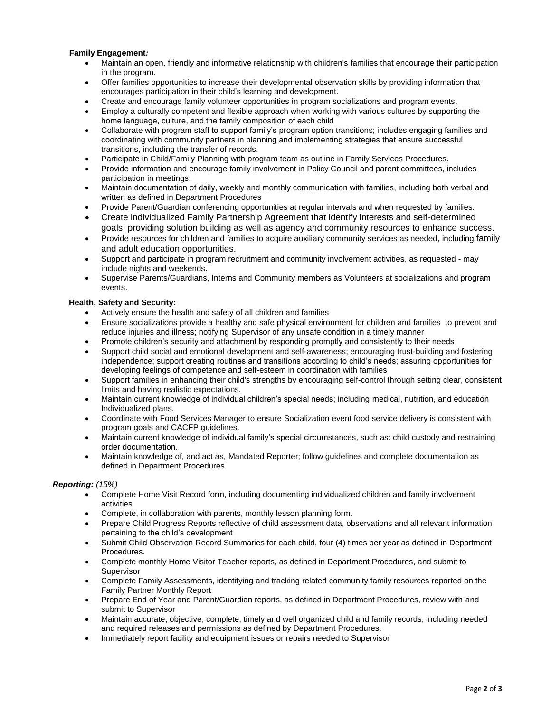#### **Family Engagement***:*

- Maintain an open, friendly and informative relationship with children's families that encourage their participation in the program.
- Offer families opportunities to increase their developmental observation skills by providing information that encourages participation in their child's learning and development.
- Create and encourage family volunteer opportunities in program socializations and program events.
- Employ a culturally competent and flexible approach when working with various cultures by supporting the home language, culture, and the family composition of each child
- Collaborate with program staff to support family's program option transitions; includes engaging families and coordinating with community partners in planning and implementing strategies that ensure successful transitions, including the transfer of records.
- Participate in Child/Family Planning with program team as outline in Family Services Procedures.
- Provide information and encourage family involvement in Policy Council and parent committees, includes participation in meetings.
- Maintain documentation of daily, weekly and monthly communication with families, including both verbal and written as defined in Department Procedures
- Provide Parent/Guardian conferencing opportunities at regular intervals and when requested by families.
- Create individualized Family Partnership Agreement that identify interests and self-determined goals; providing solution building as well as agency and community resources to enhance success.
- Provide resources for children and families to acquire auxiliary community services as needed, including family and adult education opportunities.
- Support and participate in program recruitment and community involvement activities, as requested may include nights and weekends.
- Supervise Parents/Guardians, Interns and Community members as Volunteers at socializations and program events.

#### **Health, Safety and Security:**

- Actively ensure the health and safety of all children and families
- Ensure socializations provide a healthy and safe physical environment for children and families to prevent and reduce injuries and illness; notifying Supervisor of any unsafe condition in a timely manner
- Promote children's security and attachment by responding promptly and consistently to their needs
- Support child social and emotional development and self-awareness; encouraging trust-building and fostering independence; support creating routines and transitions according to child's needs; assuring opportunities for developing feelings of competence and self-esteem in coordination with families
- Support families in enhancing their child's strengths by encouraging self-control through setting clear, consistent limits and having realistic expectations.
- Maintain current knowledge of individual children's special needs; including medical, nutrition, and education Individualized plans.
- Coordinate with Food Services Manager to ensure Socialization event food service delivery is consistent with program goals and CACFP guidelines.
- Maintain current knowledge of individual family's special circumstances, such as: child custody and restraining order documentation.
- Maintain knowledge of, and act as, Mandated Reporter; follow guidelines and complete documentation as defined in Department Procedures.

#### *Reporting: (15%)*

- Complete Home Visit Record form, including documenting individualized children and family involvement activities
- Complete, in collaboration with parents, monthly lesson planning form.
- Prepare Child Progress Reports reflective of child assessment data, observations and all relevant information pertaining to the child's development
- Submit Child Observation Record Summaries for each child, four (4) times per year as defined in Department Procedures.
- Complete monthly Home Visitor Teacher reports, as defined in Department Procedures, and submit to Supervisor
- Complete Family Assessments, identifying and tracking related community family resources reported on the Family Partner Monthly Report
- Prepare End of Year and Parent/Guardian reports, as defined in Department Procedures, review with and submit to Supervisor
- Maintain accurate, objective, complete, timely and well organized child and family records, including needed and required releases and permissions as defined by Department Procedures.
- Immediately report facility and equipment issues or repairs needed to Supervisor